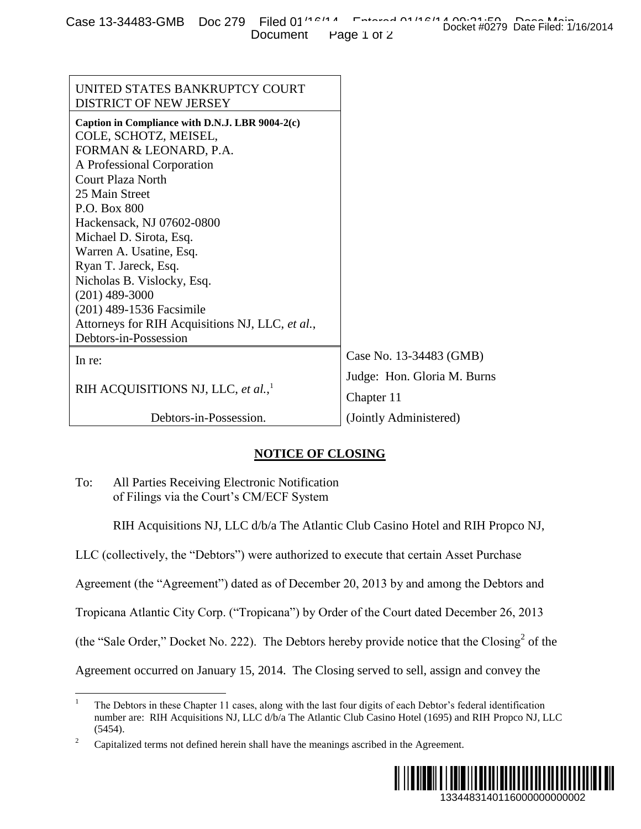| Case 13-34483-GMB Doc 279 Filed 01'10'14 Entered 01'10'14 Book340520 Base Book340 |  |                      | Docket #0279 Date Filed: 1/16/2014 |
|-----------------------------------------------------------------------------------|--|----------------------|------------------------------------|
|                                                                                   |  | Document Page 1 of 2 |                                    |

| <b>ELECTO TO THE UNIDE DUC 213</b><br>Document                                                                                                                                                                                                                                                                                                                                                                                                                      | Docket #0279 Date Filed: 1/16/2014<br>Page 1 of 2 |  |  |  |  |
|---------------------------------------------------------------------------------------------------------------------------------------------------------------------------------------------------------------------------------------------------------------------------------------------------------------------------------------------------------------------------------------------------------------------------------------------------------------------|---------------------------------------------------|--|--|--|--|
|                                                                                                                                                                                                                                                                                                                                                                                                                                                                     |                                                   |  |  |  |  |
| UNITED STATES BANKRUPTCY COURT<br>DISTRICT OF NEW JERSEY                                                                                                                                                                                                                                                                                                                                                                                                            |                                                   |  |  |  |  |
| Caption in Compliance with D.N.J. LBR 9004-2(c)<br>COLE, SCHOTZ, MEISEL,<br>FORMAN & LEONARD, P.A.<br>A Professional Corporation<br><b>Court Plaza North</b><br>25 Main Street<br>P.O. Box 800<br>Hackensack, NJ 07602-0800<br>Michael D. Sirota, Esq.<br>Warren A. Usatine, Esq.<br>Ryan T. Jareck, Esq.<br>Nicholas B. Vislocky, Esq.<br>$(201)$ 489-3000<br>(201) 489-1536 Facsimile<br>Attorneys for RIH Acquisitions NJ, LLC, et al.,<br>Debtors-in-Possession |                                                   |  |  |  |  |
| In re:                                                                                                                                                                                                                                                                                                                                                                                                                                                              | Case No. 13-34483 (GMB)                           |  |  |  |  |
|                                                                                                                                                                                                                                                                                                                                                                                                                                                                     | Judge: Hon. Gloria M. Burns                       |  |  |  |  |
| RIH ACQUISITIONS NJ, LLC, et al., <sup>1</sup>                                                                                                                                                                                                                                                                                                                                                                                                                      | Chapter 11                                        |  |  |  |  |
| Debtors-in-Possession.                                                                                                                                                                                                                                                                                                                                                                                                                                              | (Jointly Administered)                            |  |  |  |  |
| <b>NOTICE OF CLOSING</b>                                                                                                                                                                                                                                                                                                                                                                                                                                            |                                                   |  |  |  |  |
| To:<br>All Parties Receiving Electronic Notification<br>of Filings via the Court's CM/ECF System                                                                                                                                                                                                                                                                                                                                                                    |                                                   |  |  |  |  |
| RIH Acquisitions NJ, LLC d/b/a The Atlantic Club Casino Hotel and RIH Propco NJ,                                                                                                                                                                                                                                                                                                                                                                                    |                                                   |  |  |  |  |
| LLC (collectively, the "Debtors") were authorized to execute that certain Asset Purchase                                                                                                                                                                                                                                                                                                                                                                            |                                                   |  |  |  |  |
| Agreement (the "Agreement") dated as of December 20, 2013 by and among the Debtors and                                                                                                                                                                                                                                                                                                                                                                              |                                                   |  |  |  |  |
| Tropicana Atlantic City Corp. ("Tropicana") by Order of the Court dated December 26, 2013                                                                                                                                                                                                                                                                                                                                                                           |                                                   |  |  |  |  |
| (the "Sale Order," Docket No. 222). The Debtors hereby provide notice that the Closing <sup>2</sup> of the                                                                                                                                                                                                                                                                                                                                                          |                                                   |  |  |  |  |
| Agreement occurred on January 15, 2014. The Closing served to sell, assign and convey the                                                                                                                                                                                                                                                                                                                                                                           |                                                   |  |  |  |  |
| $\mathbf{1}$<br>The Debtors in these Chapter 11 cases, along with the last four digits of each Debtor's federal identification<br>number are: RIH Acquisitions NJ, LLC d/b/a The Atlantic Club Casino Hotel (1695) and RIH Propco NJ, LLC<br>(5454).                                                                                                                                                                                                                |                                                   |  |  |  |  |
| $\overline{c}$<br>Capitalized terms not defined herein shall have the meanings ascribed in the Agreement.                                                                                                                                                                                                                                                                                                                                                           |                                                   |  |  |  |  |
|                                                                                                                                                                                                                                                                                                                                                                                                                                                                     | IIIIII<br>1334483140116000000000002               |  |  |  |  |

## **NOTICE OF CLOSING**

<sup>&</sup>lt;sup>2</sup> Capitalized terms not defined herein shall have the meanings ascribed in the Agreement.



<sup>1</sup> The Debtors in these Chapter 11 cases, along with the last four digits of each Debtor's federal identification number are: RIH Acquisitions NJ, LLC d/b/a The Atlantic Club Casino Hotel (1695) and RIH Propco NJ, LLC (5454).